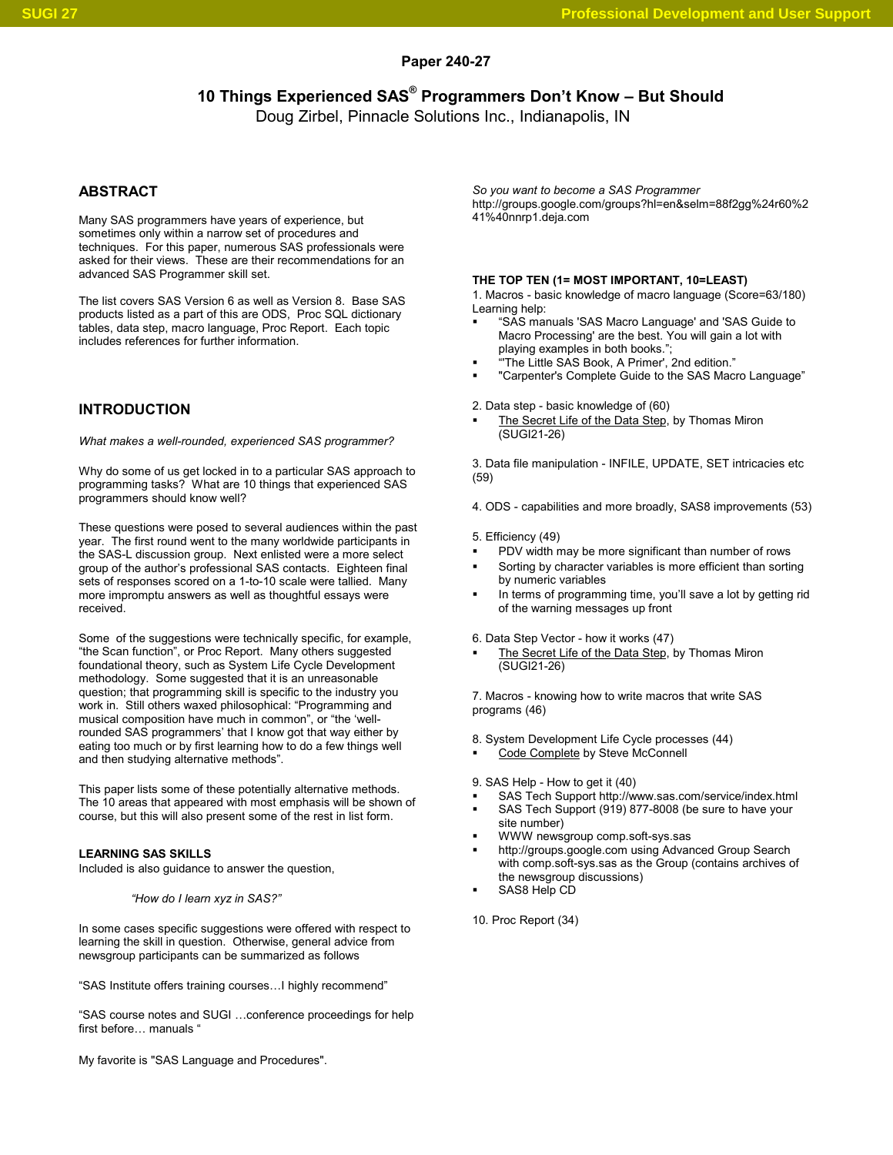### **Paper 240-27**

**10 Things Experienced SAS® Programmers Don't Know – But Should**

Doug Zirbel, Pinnacle Solutions Inc., Indianapolis, IN

# **ABSTRACT**

Many SAS programmers have years of experience, but sometimes only within a narrow set of procedures and techniques. For this paper, numerous SAS professionals were asked for their views. These are their recommendations for an advanced SAS Programmer skill set.

The list covers SAS Version 6 as well as Version 8. Base SAS products listed as a part of this are ODS, Proc SQL dictionary tables, data step, macro language, Proc Report. Each topic includes references for further information.

# **INTRODUCTION**

*What makes a well-rounded, experienced SAS programmer?*

Why do some of us get locked in to a particular SAS approach to programming tasks? What are 10 things that experienced SAS programmers should know well?

These questions were posed to several audiences within the past year. The first round went to the many worldwide participants in the SAS-L discussion group. Next enlisted were a more select group of the author's professional SAS contacts. Eighteen final sets of responses scored on a 1-to-10 scale were tallied. Many more impromptu answers as well as thoughtful essays were received.

Some of the suggestions were technically specific, for example, "the Scan function", or Proc Report. Many others suggested foundational theory, such as System Life Cycle Development methodology. Some suggested that it is an unreasonable question; that programming skill is specific to the industry you work in. Still others waxed philosophical: "Programming and musical composition have much in common", or "the 'wellrounded SAS programmers' that I know got that way either by eating too much or by first learning how to do a few things well and then studying alternative methods".

This paper lists some of these potentially alternative methods. The 10 areas that appeared with most emphasis will be shown of course, but this will also present some of the rest in list form.

#### **LEARNING SAS SKILLS**

Included is also guidance to answer the question,

*"How do I learn xyz in SAS?"*

In some cases specific suggestions were offered with respect to learning the skill in question. Otherwise, general advice from newsgroup participants can be summarized as follows

"SAS Institute offers training courses…I highly recommend"

"SAS course notes and SUGI …conference proceedings for help first before... manuals '

My favorite is "SAS Language and Procedures".

*So you want to become a SAS Programmer* http://groups.google.com/groups?hl=en&selm=88f2gg%24r60%2 41%40nnrp1.deja.com

### **THE TOP TEN (1= MOST IMPORTANT, 10=LEAST)**

1. Macros - basic knowledge of macro language (Score=63/180) Learning help:

- "SAS manuals 'SAS Macro Language' and 'SAS Guide to Macro Processing' are the best. You will gain a lot with playing examples in both books.";
- "'The Little SAS Book, A Primer', 2nd edition."
- "Carpenter's Complete Guide to the SAS Macro Language"

2. Data step - basic knowledge of (60)

 The Secret Life of the Data Step, by Thomas Miron (SUGI21-26)

3. Data file manipulation - INFILE, UPDATE, SET intricacies etc (59)

4. ODS - capabilities and more broadly, SAS8 improvements (53)

5. Efficiency (49)

- PDV width may be more significant than number of rows
- Sorting by character variables is more efficient than sorting by numeric variables
- In terms of programming time, you'll save a lot by getting rid of the warning messages up front

6. Data Step Vector - how it works (47)

 The Secret Life of the Data Step, by Thomas Miron (SUGI21-26)

7. Macros - knowing how to write macros that write SAS programs (46)

8. System Development Life Cycle processes (44)

Code Complete by Steve McConnell

9. SAS Help - How to get it (40)

- SAS Tech Support http://www.sas.com/service/index.html SAS Tech Support (919) 877-8008 (be sure to have your site number)
- WWW newsgroup comp.soft-sys.sas
- http://groups.google.com using Advanced Group Search with comp.soft-sys.sas as the Group (contains archives of the newsgroup discussions)
- SAS8 Help CD

10. Proc Report (34)